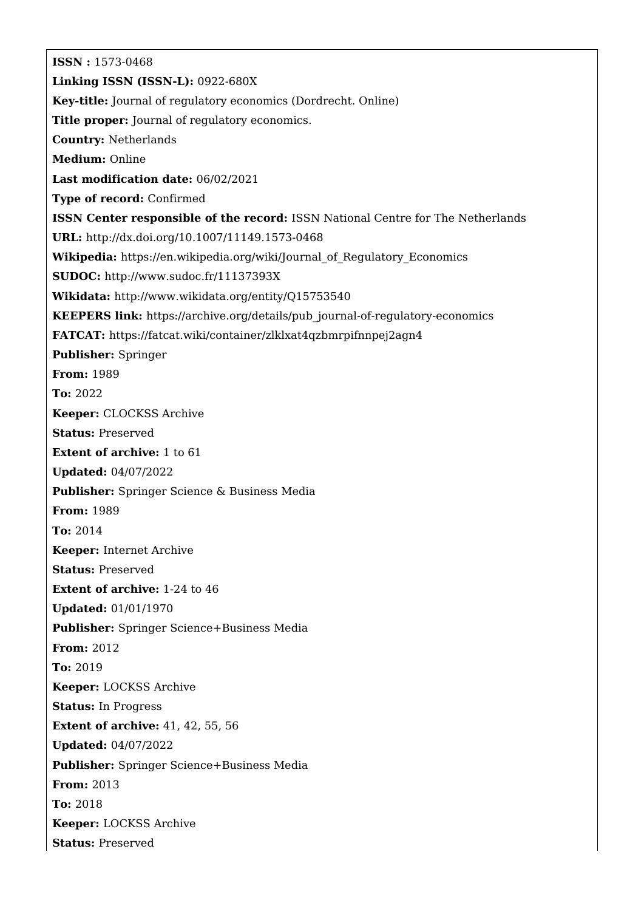**ISSN :** 1573-0468 **Linking ISSN (ISSN-L):** 0922-680X **Key-title:** Journal of regulatory economics (Dordrecht. Online) **Title proper:** Journal of regulatory economics. **Country:** Netherlands **Medium:** Online **Last modification date:** 06/02/2021 **Type of record:** Confirmed **ISSN Center responsible of the record:** ISSN National Centre for The Netherlands **URL:** <http://dx.doi.org/10.1007/11149.1573-0468> **Wikipedia:** [https://en.wikipedia.org/wiki/Journal\\_of\\_Regulatory\\_Economics](https://en.wikipedia.org/wiki/Journal_of_Regulatory_Economics) **SUDOC:** <http://www.sudoc.fr/11137393X> **Wikidata:** <http://www.wikidata.org/entity/Q15753540> **KEEPERS link:** [https://archive.org/details/pub\\_journal-of-regulatory-economics](https://archive.org/details/pub_journal-of-regulatory-economics) **FATCAT:** <https://fatcat.wiki/container/zlklxat4qzbmrpifnnpej2agn4> **Publisher:** Springer **From:** 1989 **To:** 2022 **Keeper:** CLOCKSS Archive **Status:** Preserved **Extent of archive:** 1 to 61 **Updated:** 04/07/2022 **Publisher:** Springer Science & Business Media **From:** 1989 **To:** 2014 **Keeper:** Internet Archive **Status:** Preserved **Extent of archive:** 1-24 to 46 **Updated:** 01/01/1970 **Publisher:** Springer Science+Business Media **From:** 2012 **To:** 2019 **Keeper:** LOCKSS Archive **Status:** In Progress **Extent of archive:** 41, 42, 55, 56 **Updated:** 04/07/2022 **Publisher:** Springer Science+Business Media **From:** 2013 **To:** 2018 **Keeper:** LOCKSS Archive **Status:** Preserved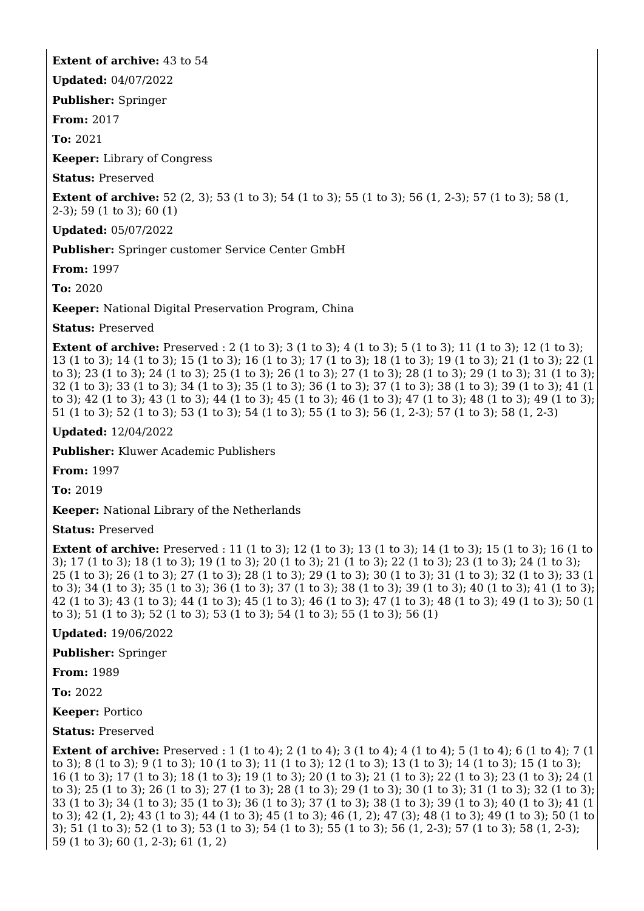## **Extent of archive:** 43 to 54

**Updated:** 04/07/2022

**Publisher:** Springer

**From:** 2017

**To:** 2021

**Keeper:** Library of Congress

**Status:** Preserved

**Extent of archive:** 52 (2, 3); 53 (1 to 3); 54 (1 to 3); 55 (1 to 3); 56 (1, 2-3); 57 (1 to 3); 58 (1, 2-3); 59 (1 to 3); 60 (1)

**Updated:** 05/07/2022

**Publisher:** Springer customer Service Center GmbH

**From:** 1997

**To:** 2020

**Keeper:** National Digital Preservation Program, China

**Status:** Preserved

**Extent of archive:** Preserved : 2 (1 to 3); 3 (1 to 3); 4 (1 to 3); 5 (1 to 3); 11 (1 to 3); 12 (1 to 3); 13 (1 to 3); 14 (1 to 3); 15 (1 to 3); 16 (1 to 3); 17 (1 to 3); 18 (1 to 3); 19 (1 to 3); 21 (1 to 3); 22 (1 to 3); 23 (1 to 3); 24 (1 to 3); 25 (1 to 3); 26 (1 to 3); 27 (1 to 3); 28 (1 to 3); 29 (1 to 3); 31 (1 to 3); 32 (1 to 3); 33 (1 to 3); 34 (1 to 3); 35 (1 to 3); 36 (1 to 3); 37 (1 to 3); 38 (1 to 3); 39 (1 to 3); 41 (1 to 3); 42 (1 to 3); 43 (1 to 3); 44 (1 to 3); 45 (1 to 3); 46 (1 to 3); 47 (1 to 3); 48 (1 to 3); 49 (1 to 3); 51 (1 to 3); 52 (1 to 3); 53 (1 to 3); 54 (1 to 3); 55 (1 to 3); 56 (1, 2-3); 57 (1 to 3); 58 (1, 2-3)

**Updated:** 12/04/2022

**Publisher:** Kluwer Academic Publishers

**From:** 1997

**To:** 2019

**Keeper:** National Library of the Netherlands

**Status:** Preserved

**Extent of archive:** Preserved : 11 (1 to 3); 12 (1 to 3); 13 (1 to 3); 14 (1 to 3); 15 (1 to 3); 16 (1 to 3); 17 (1 to 3); 18 (1 to 3); 19 (1 to 3); 20 (1 to 3); 21 (1 to 3); 22 (1 to 3); 23 (1 to 3); 24 (1 to 3); 25 (1 to 3); 26 (1 to 3); 27 (1 to 3); 28 (1 to 3); 29 (1 to 3); 30 (1 to 3); 31 (1 to 3); 32 (1 to 3); 33 (1 to 3); 34 (1 to 3); 35 (1 to 3); 36 (1 to 3); 37 (1 to 3); 38 (1 to 3); 39 (1 to 3); 40 (1 to 3); 41 (1 to 3); 42 (1 to 3); 43 (1 to 3); 44 (1 to 3); 45 (1 to 3); 46 (1 to 3); 47 (1 to 3); 48 (1 to 3); 49 (1 to 3); 50 (1 to 3); 51 (1 to 3); 52 (1 to 3); 53 (1 to 3); 54 (1 to 3); 55 (1 to 3); 56 (1)

**Updated:** 19/06/2022

**Publisher:** Springer

**From:** 1989

**To:** 2022

**Keeper:** Portico

**Status:** Preserved

**Extent of archive:** Preserved : 1 (1 to 4); 2 (1 to 4); 3 (1 to 4); 4 (1 to 4); 5 (1 to 4); 6 (1 to 4); 7 (1 to 3); 8 (1 to 3); 9 (1 to 3); 10 (1 to 3); 11 (1 to 3); 12 (1 to 3); 13 (1 to 3); 14 (1 to 3); 15 (1 to 3); 16 (1 to 3); 17 (1 to 3); 18 (1 to 3); 19 (1 to 3); 20 (1 to 3); 21 (1 to 3); 22 (1 to 3); 23 (1 to 3); 24 (1 to 3); 25 (1 to 3); 26 (1 to 3); 27 (1 to 3); 28 (1 to 3); 29 (1 to 3); 30 (1 to 3); 31 (1 to 3); 32 (1 to 3); 33 (1 to 3); 34 (1 to 3); 35 (1 to 3); 36 (1 to 3); 37 (1 to 3); 38 (1 to 3); 39 (1 to 3); 40 (1 to 3); 41 (1 to 3); 42 (1, 2); 43 (1 to 3); 44 (1 to 3); 45 (1 to 3); 46 (1, 2); 47 (3); 48 (1 to 3); 49 (1 to 3); 50 (1 to 3); 51 (1 to 3); 52 (1 to 3); 53 (1 to 3); 54 (1 to 3); 55 (1 to 3); 56 (1, 2-3); 57 (1 to 3); 58 (1, 2-3); 59 (1 to 3); 60 (1, 2-3); 61 (1, 2)